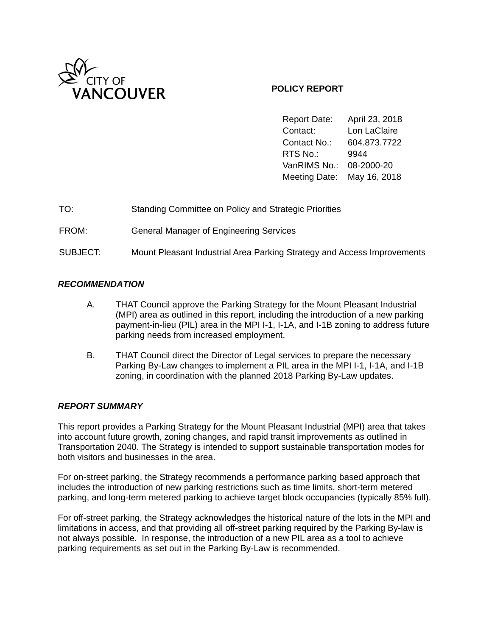

## **POLICY REPORT**

Report Date: April 23, 2018 Contact: Lon LaClaire Contact No.: 604.873.7722 RTS No.: 9944 VanRIMS No.: 08-2000-20 Meeting Date: May 16, 2018

| TO: |  | <b>Standing Committee on Policy and Strategic Priorities</b> |
|-----|--|--------------------------------------------------------------|
|-----|--|--------------------------------------------------------------|

FROM: General Manager of Engineering Services

SUBJECT: Mount Pleasant Industrial Area Parking Strategy and Access Improvements

## *RECOMMENDATION*

- A. THAT Council approve the Parking Strategy for the Mount Pleasant Industrial (MPI) area as outlined in this report, including the introduction of a new parking payment-in-lieu (PIL) area in the MPI I-1, I-1A, and I-1B zoning to address future parking needs from increased employment.
- B. THAT Council direct the Director of Legal services to prepare the necessary Parking By-Law changes to implement a PIL area in the MPI I-1, I-1A, and I-1B zoning, in coordination with the planned 2018 Parking By-Law updates.

## *REPORT SUMMARY*

This report provides a Parking Strategy for the Mount Pleasant Industrial (MPI) area that takes into account future growth, zoning changes, and rapid transit improvements as outlined in Transportation 2040. The Strategy is intended to support sustainable transportation modes for both visitors and businesses in the area.

For on-street parking, the Strategy recommends a performance parking based approach that includes the introduction of new parking restrictions such as time limits, short-term metered parking, and long-term metered parking to achieve target block occupancies (typically 85% full).

For off-street parking, the Strategy acknowledges the historical nature of the lots in the MPI and limitations in access, and that providing all off-street parking required by the Parking By-law is not always possible. In response, the introduction of a new PIL area as a tool to achieve parking requirements as set out in the Parking By-Law is recommended.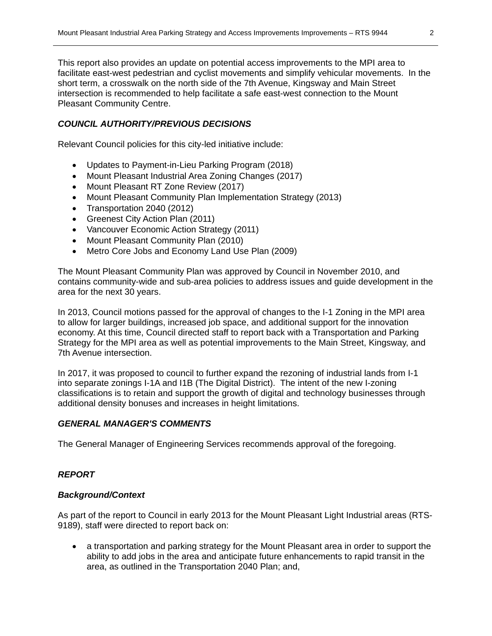This report also provides an update on potential access improvements to the MPI area to facilitate east-west pedestrian and cyclist movements and simplify vehicular movements. In the short term, a crosswalk on the north side of the 7th Avenue, Kingsway and Main Street intersection is recommended to help facilitate a safe east-west connection to the Mount Pleasant Community Centre.

# *COUNCIL AUTHORITY/PREVIOUS DECISIONS*

Relevant Council policies for this city-led initiative include:

- Updates to Payment-in-Lieu Parking Program (2018)
- Mount Pleasant Industrial Area Zoning Changes (2017)
- Mount Pleasant RT Zone Review (2017)
- Mount Pleasant Community Plan Implementation Strategy (2013)
- Transportation 2040 (2012)
- Greenest City Action Plan (2011)
- Vancouver Economic Action Strategy (2011)
- Mount Pleasant Community Plan (2010)
- Metro Core Jobs and Economy Land Use Plan (2009)

The Mount Pleasant Community Plan was approved by Council in November 2010, and contains community-wide and sub-area policies to address issues and guide development in the area for the next 30 years.

In 2013, Council motions passed for the approval of changes to the I-1 Zoning in the MPI area to allow for larger buildings, increased job space, and additional support for the innovation economy. At this time, Council directed staff to report back with a Transportation and Parking Strategy for the MPI area as well as potential improvements to the Main Street, Kingsway, and 7th Avenue intersection.

In 2017, it was proposed to council to further expand the rezoning of industrial lands from I-1 into separate zonings I-1A and I1B (The Digital District). The intent of the new I-zoning classifications is to retain and support the growth of digital and technology businesses through additional density bonuses and increases in height limitations.

## *GENERAL MANAGER'S COMMENTS*

The General Manager of Engineering Services recommends approval of the foregoing.

## *REPORT*

## *Background/Context*

As part of the report to Council in early 2013 for the Mount Pleasant Light Industrial areas (RTS-9189), staff were directed to report back on:

 a transportation and parking strategy for the Mount Pleasant area in order to support the ability to add jobs in the area and anticipate future enhancements to rapid transit in the area, as outlined in the Transportation 2040 Plan; and,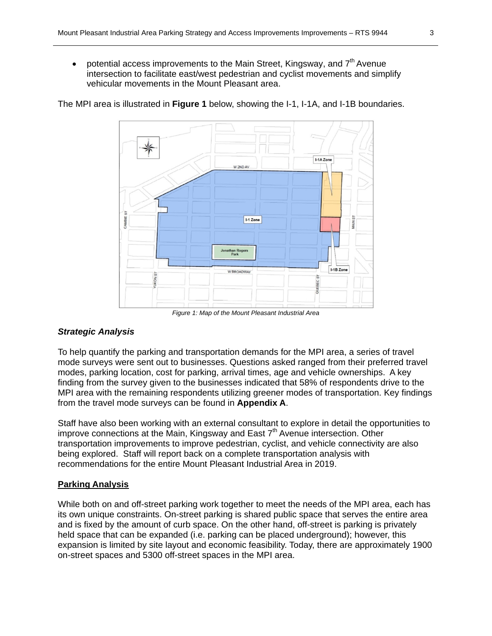potential access improvements to the Main Street, Kingsway, and 7<sup>th</sup> Avenue intersection to facilitate east/west pedestrian and cyclist movements and simplify vehicular movements in the Mount Pleasant area.



The MPI area is illustrated in **Figure 1** below, showing the I-1, I-1A, and I-1B boundaries.

*Figure 1: Map of the Mount Pleasant Industrial Area*

## *Strategic Analysis*

To help quantify the parking and transportation demands for the MPI area, a series of travel mode surveys were sent out to businesses. Questions asked ranged from their preferred travel modes, parking location, cost for parking, arrival times, age and vehicle ownerships. A key finding from the survey given to the businesses indicated that 58% of respondents drive to the MPI area with the remaining respondents utilizing greener modes of transportation. Key findings from the travel mode surveys can be found in **Appendix A**.

Staff have also been working with an external consultant to explore in detail the opportunities to improve connections at the Main, Kingsway and East  $7<sup>th</sup>$  Avenue intersection. Other transportation improvements to improve pedestrian, cyclist, and vehicle connectivity are also being explored. Staff will report back on a complete transportation analysis with recommendations for the entire Mount Pleasant Industrial Area in 2019.

### **Parking Analysis**

While both on and off-street parking work together to meet the needs of the MPI area, each has its own unique constraints. On-street parking is shared public space that serves the entire area and is fixed by the amount of curb space. On the other hand, off-street is parking is privately held space that can be expanded (i.e. parking can be placed underground); however, this expansion is limited by site layout and economic feasibility. Today, there are approximately 1900 on-street spaces and 5300 off-street spaces in the MPI area.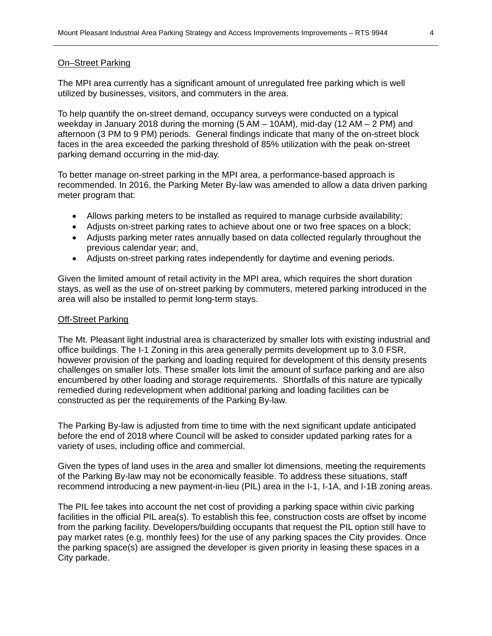### On–Street Parking

The MPI area currently has a significant amount of unregulated free parking which is well utilized by businesses, visitors, and commuters in the area.

To help quantify the on-street demand, occupancy surveys were conducted on a typical weekday in January 2018 during the morning (5 AM – 10AM), mid-day (12 AM – 2 PM) and afternoon (3 PM to 9 PM) periods. General findings indicate that many of the on-street block faces in the area exceeded the parking threshold of 85% utilization with the peak on-street parking demand occurring in the mid-day.

To better manage on-street parking in the MPI area, a performance-based approach is recommended. In 2016, the Parking Meter By-law was amended to allow a data driven parking meter program that:

- Allows parking meters to be installed as required to manage curbside availability;
- Adjusts on-street parking rates to achieve about one or two free spaces on a block;
- Adjusts parking meter rates annually based on data collected regularly throughout the previous calendar year; and,
- Adjusts on-street parking rates independently for daytime and evening periods.

Given the limited amount of retail activity in the MPI area, which requires the short duration stays, as well as the use of on-street parking by commuters, metered parking introduced in the area will also be installed to permit long-term stays.

#### Off-Street Parking

The Mt. Pleasant light industrial area is characterized by smaller lots with existing industrial and office buildings. The I-1 Zoning in this area generally permits development up to 3.0 FSR, however provision of the parking and loading required for development of this density presents challenges on smaller lots. These smaller lots limit the amount of surface parking and are also encumbered by other loading and storage requirements. Shortfalls of this nature are typically remedied during redevelopment when additional parking and loading facilities can be constructed as per the requirements of the Parking By-law.

The Parking By-law is adjusted from time to time with the next significant update anticipated before the end of 2018 where Council will be asked to consider updated parking rates for a variety of uses, including office and commercial.

Given the types of land uses in the area and smaller lot dimensions, meeting the requirements of the Parking By-law may not be economically feasible. To address these situations, staff recommend introducing a new payment-in-lieu (PIL) area in the I-1, I-1A, and I-1B zoning areas.

The PIL fee takes into account the net cost of providing a parking space within civic parking facilities in the official PIL area(s). To establish this fee, construction costs are offset by income from the parking facility. Developers/building occupants that request the PIL option still have to pay market rates (e.g. monthly fees) for the use of any parking spaces the City provides. Once the parking space(s) are assigned the developer is given priority in leasing these spaces in a City parkade.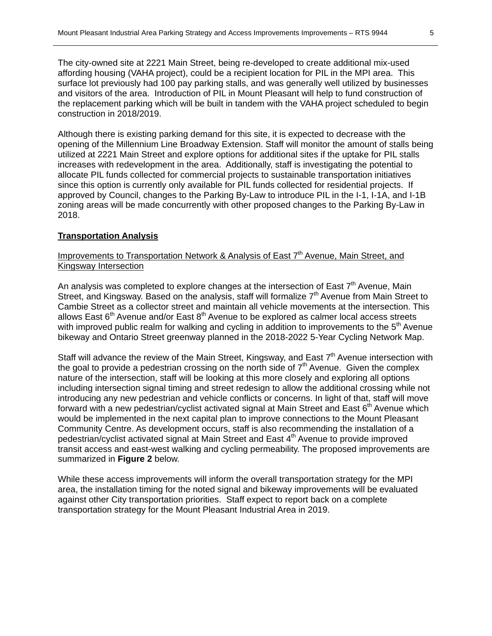The city-owned site at 2221 Main Street, being re-developed to create additional mix-used affording housing (VAHA project), could be a recipient location for PIL in the MPI area. This surface lot previously had 100 pay parking stalls, and was generally well utilized by businesses and visitors of the area. Introduction of PIL in Mount Pleasant will help to fund construction of the replacement parking which will be built in tandem with the VAHA project scheduled to begin construction in 2018/2019.

Although there is existing parking demand for this site, it is expected to decrease with the opening of the Millennium Line Broadway Extension. Staff will monitor the amount of stalls being utilized at 2221 Main Street and explore options for additional sites if the uptake for PIL stalls increases with redevelopment in the area. Additionally, staff is investigating the potential to allocate PIL funds collected for commercial projects to sustainable transportation initiatives since this option is currently only available for PIL funds collected for residential projects. If approved by Council, changes to the Parking By-Law to introduce PIL in the I-1, I-1A, and I-1B zoning areas will be made concurrently with other proposed changes to the Parking By-Law in 2018.

### **Transportation Analysis**

## Improvements to Transportation Network & Analysis of East 7<sup>th</sup> Avenue, Main Street, and Kingsway Intersection

An analysis was completed to explore changes at the intersection of East  $7<sup>th</sup>$  Avenue, Main Street, and Kingsway. Based on the analysis, staff will formalize 7<sup>th</sup> Avenue from Main Street to Cambie Street as a collector street and maintain all vehicle movements at the intersection. This allows East  $6<sup>th</sup>$  Avenue and/or East  $8<sup>th</sup>$  Avenue to be explored as calmer local access streets with improved public realm for walking and cycling in addition to improvements to the  $5<sup>th</sup>$  Avenue bikeway and Ontario Street greenway planned in the 2018-2022 5-Year Cycling Network Map.

Staff will advance the review of the Main Street, Kingsway, and East  $7<sup>th</sup>$  Avenue intersection with the goal to provide a pedestrian crossing on the north side of  $7<sup>th</sup>$  Avenue. Given the complex nature of the intersection, staff will be looking at this more closely and exploring all options including intersection signal timing and street redesign to allow the additional crossing while not introducing any new pedestrian and vehicle conflicts or concerns. In light of that, staff will move forward with a new pedestrian/cyclist activated signal at Main Street and East  $6<sup>th</sup>$  Avenue which would be implemented in the next capital plan to improve connections to the Mount Pleasant Community Centre. As development occurs, staff is also recommending the installation of a pedestrian/cyclist activated signal at Main Street and East 4<sup>th</sup> Avenue to provide improved transit access and east-west walking and cycling permeability. The proposed improvements are summarized in **Figure 2** below.

While these access improvements will inform the overall transportation strategy for the MPI area, the installation timing for the noted signal and bikeway improvements will be evaluated against other City transportation priorities. Staff expect to report back on a complete transportation strategy for the Mount Pleasant Industrial Area in 2019.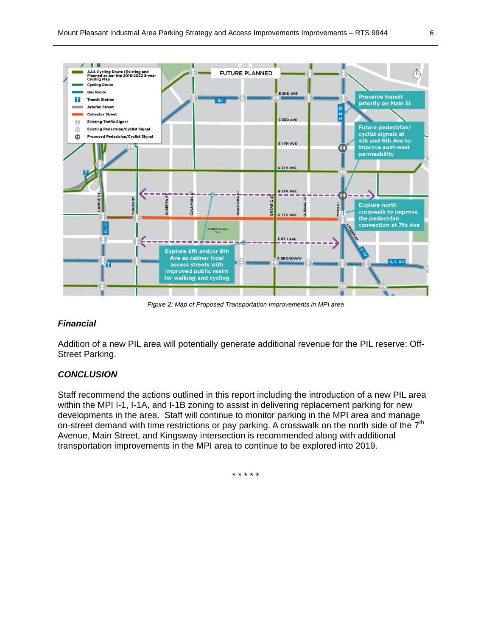

*Figure 2: Map of Proposed Transportation Improvements in MPI area* 

### *Financial*

Addition of a new PIL area will potentially generate additional revenue for the PIL reserve: Off-Street Parking.

#### *CONCLUSION*

Staff recommend the actions outlined in this report including the introduction of a new PIL area within the MPI I-1, I-1A, and I-1B zoning to assist in delivering replacement parking for new developments in the area. Staff will continue to monitor parking in the MPI area and manage on-street demand with time restrictions or pay parking. A crosswalk on the north side of the  $7<sup>th</sup>$ Avenue, Main Street, and Kingsway intersection is recommended along with additional transportation improvements in the MPI area to continue to be explored into 2019.

\* \* \* \* \*